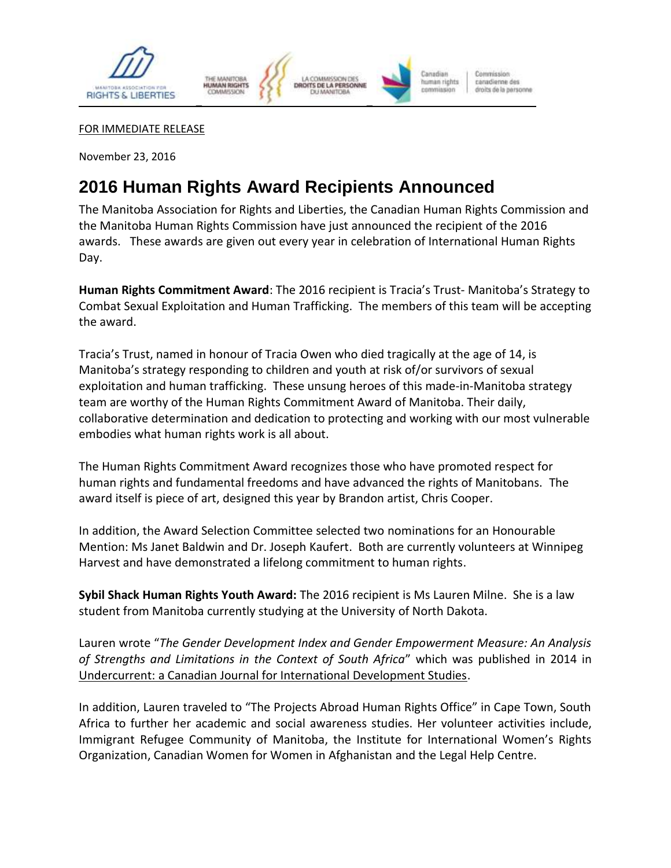

FOR IMMEDIATE RELEASE

November 23, 2016

## **2016 Human Rights Award Recipients Announced**

The Manitoba Association for Rights and Liberties, the Canadian Human Rights Commission and the Manitoba Human Rights Commission have just announced the recipient of the 2016 awards. These awards are given out every year in celebration of International Human Rights Day.

**Human Rights Commitment Award**: The 2016 recipient is Tracia's Trust- Manitoba's Strategy to Combat Sexual Exploitation and Human Trafficking. The members of this team will be accepting the award.

Tracia's Trust, named in honour of Tracia Owen who died tragically at the age of 14, is Manitoba's strategy responding to children and youth at risk of/or survivors of sexual exploitation and human trafficking. These unsung heroes of this made-in-Manitoba strategy team are worthy of the Human Rights Commitment Award of Manitoba. Their daily, collaborative determination and dedication to protecting and working with our most vulnerable embodies what human rights work is all about.

The Human Rights Commitment Award recognizes those who have promoted respect for human rights and fundamental freedoms and have advanced the rights of Manitobans. The award itself is piece of art, designed this year by Brandon artist, Chris Cooper.

In addition, the Award Selection Committee selected two nominations for an Honourable Mention: Ms Janet Baldwin and Dr. Joseph Kaufert. Both are currently volunteers at Winnipeg Harvest and have demonstrated a lifelong commitment to human rights.

**Sybil Shack Human Rights Youth Award:** The 2016 recipient is Ms Lauren Milne. She is a law student from Manitoba currently studying at the University of North Dakota.

Lauren wrote "*The Gender Development Index and Gender Empowerment Measure: An Analysis of Strengths and Limitations in the Context of South Africa*" which was published in 2014 in Undercurrent: a Canadian Journal for International Development Studies.

In addition, Lauren traveled to "The Projects Abroad Human Rights Office" in Cape Town, South Africa to further her academic and social awareness studies. Her volunteer activities include, Immigrant Refugee Community of Manitoba, the Institute for International Women's Rights Organization, Canadian Women for Women in Afghanistan and the Legal Help Centre.